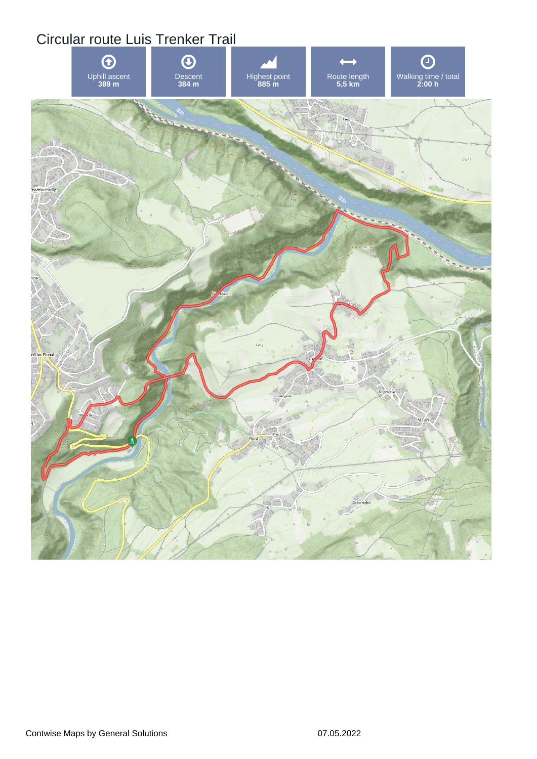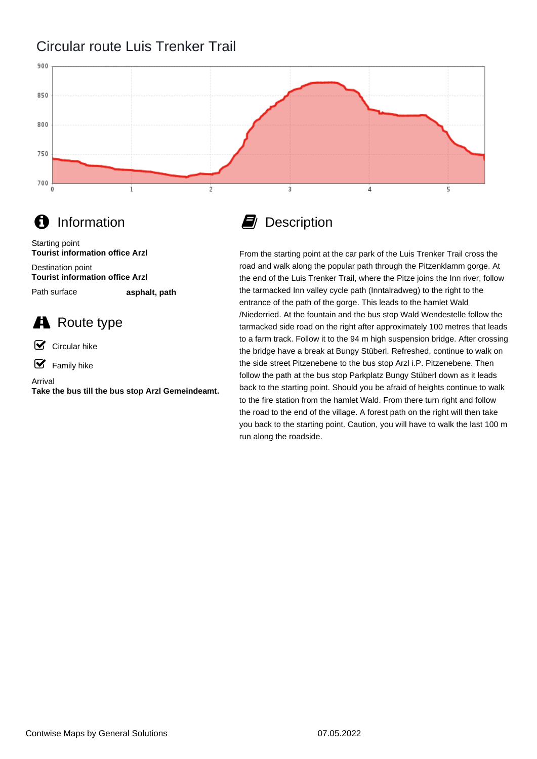## Circular route Luis Trenker Trail



## **f** Information

Destination point Starting point **Tourist information office Arzl Tourist information office Arzl**

Path surface

**asphalt, path**

## **A** Route type

☑ Circular hike

 $\mathbf F$  Family hike

Arrival **Take the bus till the bus stop Arzl Gemeindeamt.**

## **D** Description

From the starting point at the car park of the Luis Trenker Trail cross the road and walk along the popular path through the Pitzenklamm gorge. At the end of the Luis Trenker Trail, where the Pitze joins the Inn river, follow the tarmacked Inn valley cycle path (Inntalradweg) to the right to the entrance of the path of the gorge. This leads to the hamlet Wald /Niederried. At the fountain and the bus stop Wald Wendestelle follow the tarmacked side road on the right after approximately 100 metres that leads to a farm track. Follow it to the 94 m high suspension bridge. After crossing the bridge have a break at Bungy Stüberl. Refreshed, continue to walk on the side street Pitzenebene to the bus stop Arzl i.P. Pitzenebene. Then follow the path at the bus stop Parkplatz Bungy Stüberl down as it leads back to the starting point. Should you be afraid of heights continue to walk to the fire station from the hamlet Wald. From there turn right and follow the road to the end of the village. A forest path on the right will then take you back to the starting point. Caution, you will have to walk the last 100 m run along the roadside.